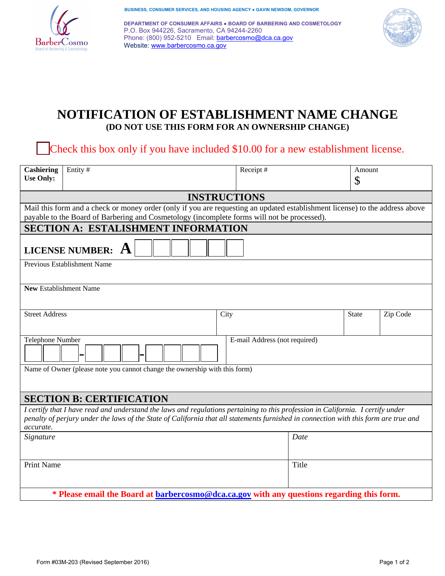

**BUSINESS, CONSUMER SERVICES, AND HOUSING AGENCY ● GAVIN NEWSOM, GOVERNOR** 

 P.O. Box 944226, Sacramento, CA 94244-2260 Phone: (800) 952-5210 Email: **barbercosmo@dca.ca.gov DEPARTMENT OF CONSUMER AFFAIRS ● BOARD OF BARBERING AND COSMETOLOGY** Website: www.barbercosmo.ca.gov



# **NOTIFICATION OF ESTABLISHMENT NAME CHANGE (DO NOT USE THIS FORM FOR AN OWNERSHIP CHANGE)**

Check this box only if you have included \$10.00 for a new establishment license.

| Entity#<br><b>Cashiering</b><br><b>Use Only:</b>                                                                                                                                                                                                                                     | Receipt# |                               | Amount<br>\$ |          |  |
|--------------------------------------------------------------------------------------------------------------------------------------------------------------------------------------------------------------------------------------------------------------------------------------|----------|-------------------------------|--------------|----------|--|
| <b>INSTRUCTIONS</b>                                                                                                                                                                                                                                                                  |          |                               |              |          |  |
| Mail this form and a check or money order (only if you are requesting an updated establishment license) to the address above                                                                                                                                                         |          |                               |              |          |  |
| payable to the Board of Barbering and Cosmetology (incomplete forms will not be processed).                                                                                                                                                                                          |          |                               |              |          |  |
| <b>SECTION A: ESTALISHMENT INFORMATION</b>                                                                                                                                                                                                                                           |          |                               |              |          |  |
| <b>LICENSE NUMBER:</b>                                                                                                                                                                                                                                                               |          |                               |              |          |  |
| Previous Establishment Name                                                                                                                                                                                                                                                          |          |                               |              |          |  |
| <b>New Establishment Name</b>                                                                                                                                                                                                                                                        |          |                               |              |          |  |
| <b>Street Address</b>                                                                                                                                                                                                                                                                | City     |                               | <b>State</b> | Zip Code |  |
| Telephone Number                                                                                                                                                                                                                                                                     |          | E-mail Address (not required) |              |          |  |
| Name of Owner (please note you cannot change the ownership with this form)                                                                                                                                                                                                           |          |                               |              |          |  |
| <b>SECTION B: CERTIFICATION</b>                                                                                                                                                                                                                                                      |          |                               |              |          |  |
| I certify that I have read and understand the laws and regulations pertaining to this profession in California. I certify under<br>penalty of perjury under the laws of the State of California that all statements furnished in connection with this form are true and<br>accurate. |          |                               |              |          |  |
| Signature                                                                                                                                                                                                                                                                            |          | Date                          |              |          |  |
| <b>Print Name</b>                                                                                                                                                                                                                                                                    |          | Title                         |              |          |  |
| * Please email the Board at <b>barbercosmo@dca.ca.gov</b> with any questions regarding this form.                                                                                                                                                                                    |          |                               |              |          |  |